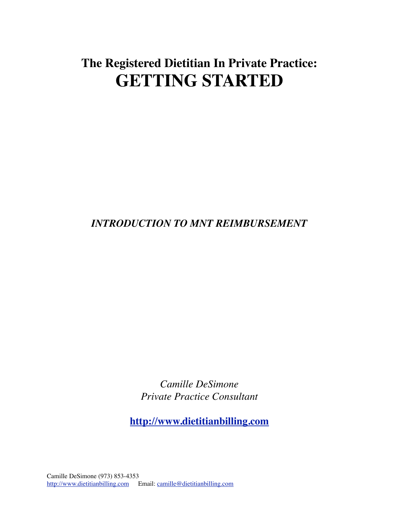# **The Registered Dietitian In Private Practice: GETTING STARTED**

## *INTRODUCTION TO MNT REIMBURSEMENT*

*Camille DeSimone Private Practice Consultant* 

**[http://www.dietitianbilling.com](http://www.rdbilling.com)**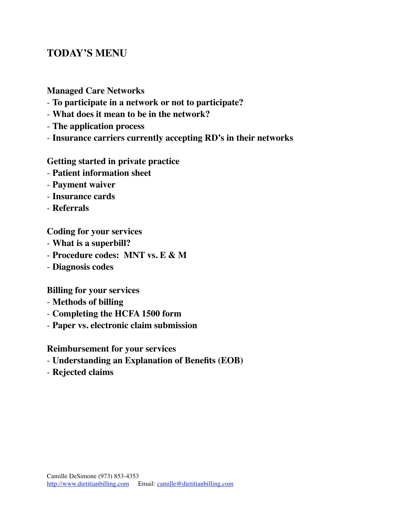### **TODAY'S MENU**

#### **Managed Care Networks**

- **To participate in a network or not to participate?**
- **What does it mean to be in the network?**
- **The application process**
- **Insurance carriers currently accepting RD's in their networks**

#### **Getting started in private practice**

- **Patient information sheet**
- **Payment waiver**
- **Insurance cards**
- **Referrals**

**Coding for your services** 

- **What is a superbill?**
- **Procedure codes: MNT vs. E & M**
- **Diagnosis codes**

**Billing for your services** 

- **Methods of billing**
- **Completing the HCFA 1500 form**
- **Paper vs. electronic claim submission**

**Reimbursement for your services** 

- **Understanding an Explanation of Benefits (EOB)**
- **Rejected claims**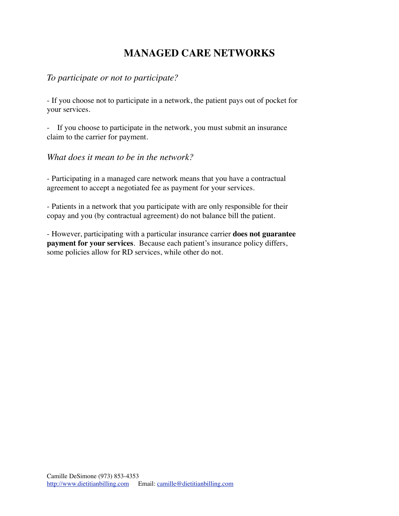## **MANAGED CARE NETWORKS**

#### *To participate or not to participate?*

- If you choose not to participate in a network, the patient pays out of pocket for your services.

- If you choose to participate in the network, you must submit an insurance claim to the carrier for payment.

*What does it mean to be in the network?* 

- Participating in a managed care network means that you have a contractual agreement to accept a negotiated fee as payment for your services.

- Patients in a network that you participate with are only responsible for their copay and you (by contractual agreement) do not balance bill the patient.

- However, participating with a particular insurance carrier **does not guarantee payment for your services**. Because each patient's insurance policy differs, some policies allow for RD services, while other do not.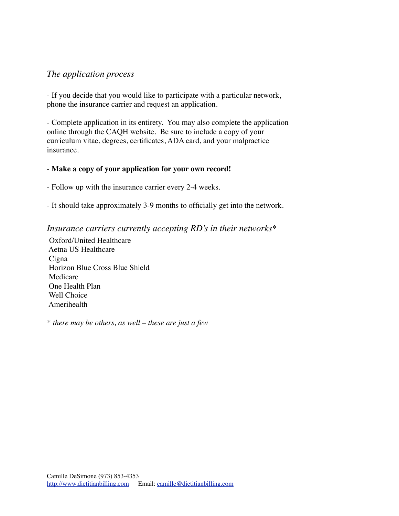#### *The application process*

- If you decide that you would like to participate with a particular network, phone the insurance carrier and request an application.

- Complete application in its entirety. You may also complete the application online through the CAQH website. Be sure to include a copy of your curriculum vitae, degrees, certificates, ADA card, and your malpractice insurance.

#### - **Make a copy of your application for your own record!**

- Follow up with the insurance carrier every 2-4 weeks.

- It should take approximately 3-9 months to officially get into the network.

#### *Insurance carriers currently accepting RD's in their networks\**

Oxford/United Healthcare Aetna US Healthcare **C**igna Horizon Blue Cross Blue Shield Medicare One Health Plan Well Choice Amerihealth

*\* there may be others, as well – these are just a few*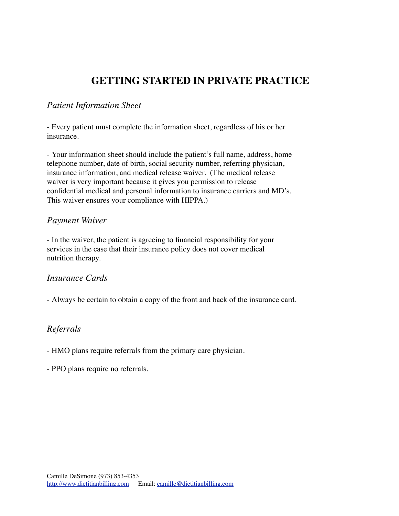### **GETTING STARTED IN PRIVATE PRACTICE**

#### *Patient Information Sheet*

- Every patient must complete the information sheet, regardless of his or her insurance.

- Your information sheet should include the patient's full name, address, home telephone number, date of birth, social security number, referring physician, insurance information, and medical release waiver. (The medical release waiver is very important because it gives you permission to release confidential medical and personal information to insurance carriers and MD's. This waiver ensures your compliance with HIPPA.)

#### *Payment Waiver*

- In the waiver, the patient is agreeing to financial responsibility for your services in the case that their insurance policy does not cover medical nutrition therapy.

#### *Insurance Cards*

- Always be certain to obtain a copy of the front and back of the insurance card.

#### *Referrals*

- HMO plans require referrals from the primary care physician.

- PPO plans require no referrals.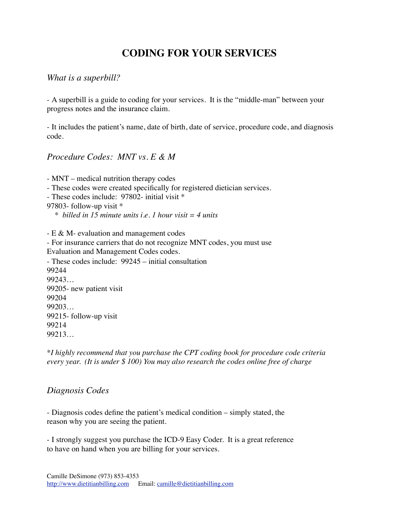### **CODING FOR YOUR SERVICES**

#### *What is a superbill?*

- A superbill is a guide to coding for your services. It is the "middle-man" between your progress notes and the insurance claim.

- It includes the patient's name, date of birth, date of service, procedure code, and diagnosis code.

#### *Procedure Codes: MNT vs. E & M*

- MNT – medical nutrition therapy codes - These codes were created specifically for registered dietician services. - These codes include: 97802- initial visit \* 97803- follow-up visit \* \* *billed in 15 minute units i.e. 1 hour visit = 4 units* - E & M- evaluation and management codes - For insurance carriers that do not recognize MNT codes, you must use Evaluation and Management Codes codes. - These codes include: 99245 – initial consultation 99244 99243… 99205- new patient visit 99204 99203… 99215- follow-up visit 99214 99213…

\**I highly recommend that you purchase the CPT coding book for procedure code criteria every year. (It is under \$ 100) You may also research the codes online free of charge* 

#### *Diagnosis Codes*

- Diagnosis codes define the patient's medical condition – simply stated, the reason why you are seeing the patient.

- I strongly suggest you purchase the ICD-9 Easy Coder. It is a great reference to have on hand when you are billing for your services.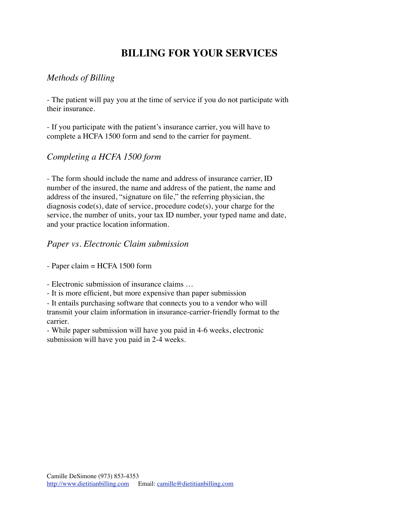### **BILLING FOR YOUR SERVICES**

#### *Methods of Billing*

- The patient will pay you at the time of service if you do not participate with their insurance.

- If you participate with the patient's insurance carrier, you will have to complete a HCFA 1500 form and send to the carrier for payment.

#### *Completing a HCFA 1500 form*

- The form should include the name and address of insurance carrier, ID number of the insured, the name and address of the patient, the name and address of the insured, "signature on file," the referring physician, the diagnosis code(s), date of service, procedure code(s), your charge for the service, the number of units, your tax ID number, your typed name and date, and your practice location information.

#### *Paper vs. Electronic Claim submission*

- Paper claim = HCFA 1500 form

- Electronic submission of insurance claims …

- It is more efficient, but more expensive than paper submission

- It entails purchasing software that connects you to a vendor who will transmit your claim information in insurance-carrier-friendly format to the carrier.

- While paper submission will have you paid in 4-6 weeks, electronic submission will have you paid in 2-4 weeks.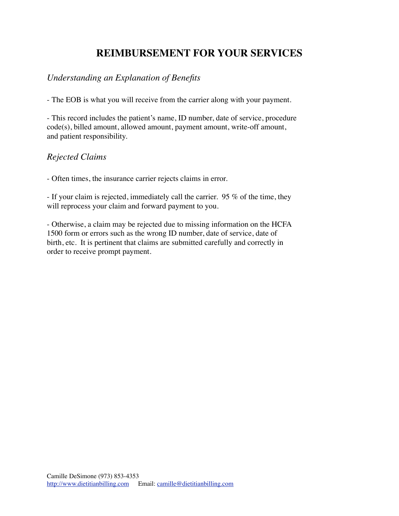### **REIMBURSEMENT FOR YOUR SERVICES**

### *Understanding an Explanation of Benefits*

- The EOB is what you will receive from the carrier along with your payment.

- This record includes the patient's name, ID number, date of service, procedure code(s), billed amount, allowed amount, payment amount, write-off amount, and patient responsibility.

#### *Rejected Claims*

- Often times, the insurance carrier rejects claims in error.

- If your claim is rejected, immediately call the carrier. 95 % of the time, they will reprocess your claim and forward payment to you.

- Otherwise, a claim may be rejected due to missing information on the HCFA 1500 form or errors such as the wrong ID number, date of service, date of birth, etc. It is pertinent that claims are submitted carefully and correctly in order to receive prompt payment.